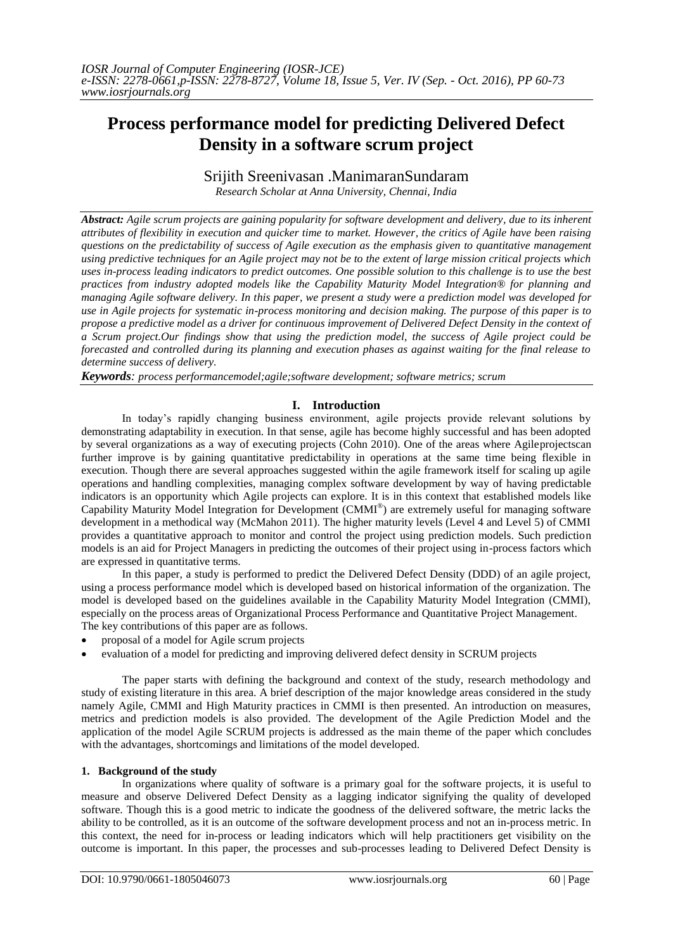# **Process performance model for predicting Delivered Defect Density in a software scrum project**

# Srijith Sreenivasan .ManimaranSundaram

*Research Scholar at Anna University, Chennai, India*

*Abstract: Agile scrum projects are gaining popularity for software development and delivery, due to its inherent attributes of flexibility in execution and quicker time to market. However, the critics of Agile have been raising questions on the predictability of success of Agile execution as the emphasis given to quantitative management using predictive techniques for an Agile project may not be to the extent of large mission critical projects which uses in-process leading indicators to predict outcomes. One possible solution to this challenge is to use the best practices from industry adopted models like the Capability Maturity Model Integration® for planning and managing Agile software delivery. In this paper, we present a study were a prediction model was developed for use in Agile projects for systematic in-process monitoring and decision making. The purpose of this paper is to propose a predictive model as a driver for continuous improvement of Delivered Defect Density in the context of a Scrum project.Our findings show that using the prediction model, the success of Agile project could be forecasted and controlled during its planning and execution phases as against waiting for the final release to determine success of delivery.*

*Keywords: process performancemodel;agile;software development; software metrics; scrum*

# **I. Introduction**

In today"s rapidly changing business environment, agile projects provide relevant solutions by demonstrating adaptability in execution. In that sense, agile has become highly successful and has been adopted by several organizations as a way of executing projects (Cohn 2010). One of the areas where Agileprojectscan further improve is by gaining quantitative predictability in operations at the same time being flexible in execution. Though there are several approaches suggested within the agile framework itself for scaling up agile operations and handling complexities, managing complex software development by way of having predictable indicators is an opportunity which Agile projects can explore. It is in this context that established models like Capability Maturity Model Integration for Development (CMMI® ) are extremely useful for managing software development in a methodical way (McMahon 2011). The higher maturity levels (Level 4 and Level 5) of CMMI provides a quantitative approach to monitor and control the project using prediction models. Such prediction models is an aid for Project Managers in predicting the outcomes of their project using in-process factors which are expressed in quantitative terms.

In this paper, a study is performed to predict the Delivered Defect Density (DDD) of an agile project, using a process performance model which is developed based on historical information of the organization. The model is developed based on the guidelines available in the Capability Maturity Model Integration (CMMI), especially on the process areas of Organizational Process Performance and Quantitative Project Management. The key contributions of this paper are as follows.

- proposal of a model for Agile scrum projects
- evaluation of a model for predicting and improving delivered defect density in SCRUM projects

The paper starts with defining the background and context of the study, research methodology and study of existing literature in this area. A brief description of the major knowledge areas considered in the study namely Agile, CMMI and High Maturity practices in CMMI is then presented. An introduction on measures, metrics and prediction models is also provided. The development of the Agile Prediction Model and the application of the model Agile SCRUM projects is addressed as the main theme of the paper which concludes with the advantages, shortcomings and limitations of the model developed.

# **1. Background of the study**

In organizations where quality of software is a primary goal for the software projects, it is useful to measure and observe Delivered Defect Density as a lagging indicator signifying the quality of developed software. Though this is a good metric to indicate the goodness of the delivered software, the metric lacks the ability to be controlled, as it is an outcome of the software development process and not an in-process metric. In this context, the need for in-process or leading indicators which will help practitioners get visibility on the outcome is important. In this paper, the processes and sub-processes leading to Delivered Defect Density is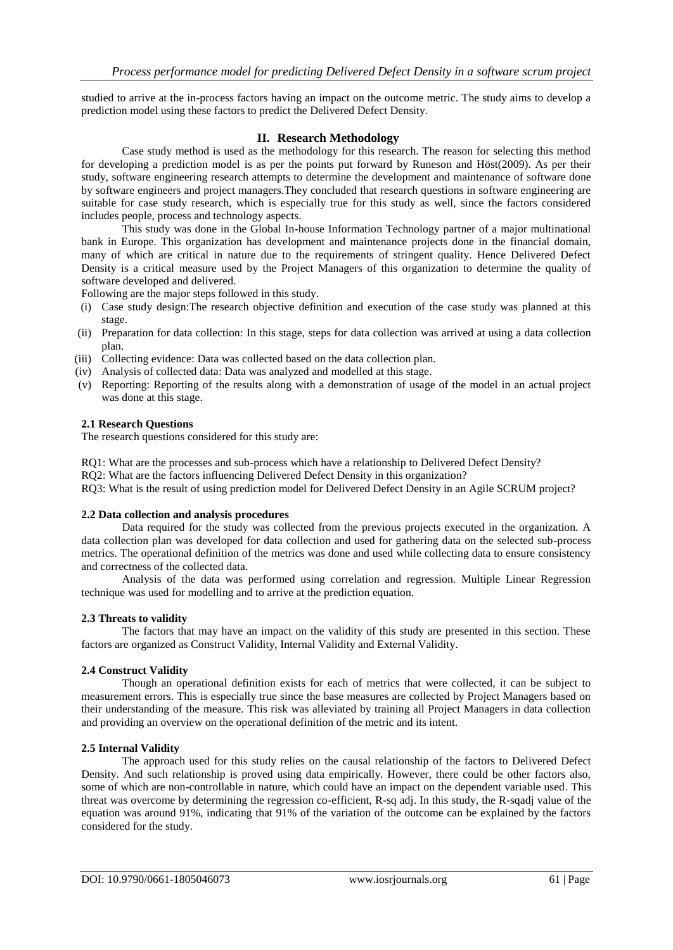studied to arrive at the in-process factors having an impact on the outcome metric. The study aims to develop a prediction model using these factors to predict the Delivered Defect Density.

# **II. Research Methodology**

Case study method is used as the methodology for this research. The reason for selecting this method for developing a prediction model is as per the points put forward by Runeson and Höst(2009). As per their study, software engineering research attempts to determine the development and maintenance of software done by software engineers and project managers.They concluded that research questions in software engineering are suitable for case study research, which is especially true for this study as well, since the factors considered includes people, process and technology aspects.

This study was done in the Global In-house Information Technology partner of a major multinational bank in Europe. This organization has development and maintenance projects done in the financial domain, many of which are critical in nature due to the requirements of stringent quality. Hence Delivered Defect Density is a critical measure used by the Project Managers of this organization to determine the quality of software developed and delivered.

Following are the major steps followed in this study.

- (i) Case study design:The research objective definition and execution of the case study was planned at this stage.
- (ii) Preparation for data collection: In this stage, steps for data collection was arrived at using a data collection plan.
- (iii) Collecting evidence: Data was collected based on the data collection plan.
- (iv) Analysis of collected data: Data was analyzed and modelled at this stage.
- (v) Reporting: Reporting of the results along with a demonstration of usage of the model in an actual project was done at this stage.

## **2.1 Research Questions**

The research questions considered for this study are:

RQ1: What are the processes and sub-process which have a relationship to Delivered Defect Density?

RQ2: What are the factors influencing Delivered Defect Density in this organization?

RQ3: What is the result of using prediction model for Delivered Defect Density in an Agile SCRUM project?

#### **2.2 Data collection and analysis procedures**

Data required for the study was collected from the previous projects executed in the organization. A data collection plan was developed for data collection and used for gathering data on the selected sub-process metrics. The operational definition of the metrics was done and used while collecting data to ensure consistency and correctness of the collected data.

Analysis of the data was performed using correlation and regression. Multiple Linear Regression technique was used for modelling and to arrive at the prediction equation.

# **2.3 Threats to validity**

The factors that may have an impact on the validity of this study are presented in this section. These factors are organized as Construct Validity, Internal Validity and External Validity.

#### **2.4 Construct Validity**

Though an operational definition exists for each of metrics that were collected, it can be subject to measurement errors. This is especially true since the base measures are collected by Project Managers based on their understanding of the measure. This risk was alleviated by training all Project Managers in data collection and providing an overview on the operational definition of the metric and its intent.

#### **2.5 Internal Validity**

The approach used for this study relies on the causal relationship of the factors to Delivered Defect Density. And such relationship is proved using data empirically. However, there could be other factors also, some of which are non-controllable in nature, which could have an impact on the dependent variable used. This threat was overcome by determining the regression co-efficient, R-sq adj. In this study, the R-sqadj value of the equation was around 91%, indicating that 91% of the variation of the outcome can be explained by the factors considered for the study.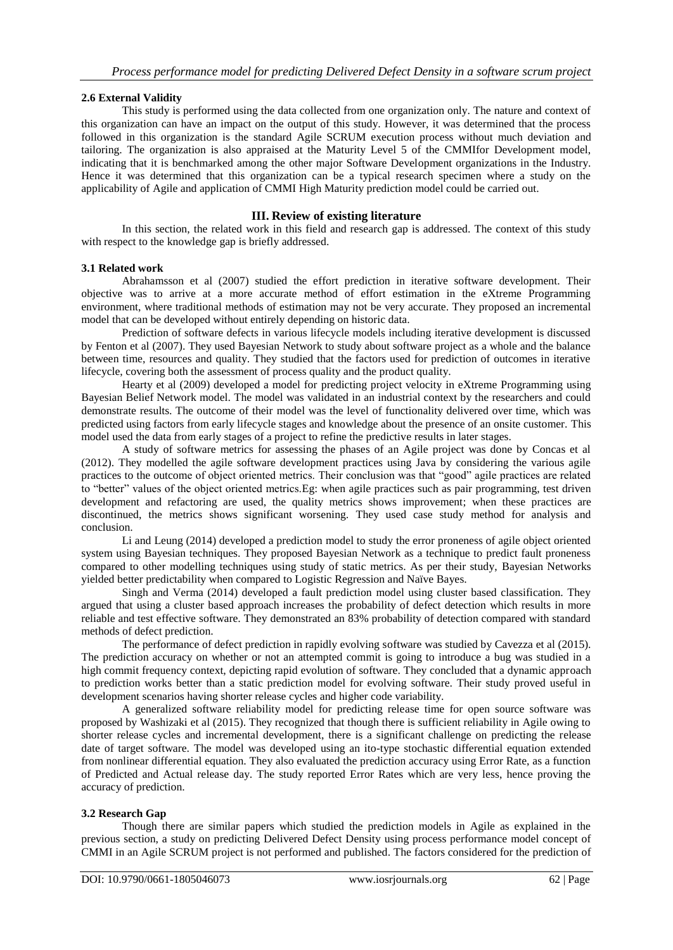# **2.6 External Validity**

This study is performed using the data collected from one organization only. The nature and context of this organization can have an impact on the output of this study. However, it was determined that the process followed in this organization is the standard Agile SCRUM execution process without much deviation and tailoring. The organization is also appraised at the Maturity Level 5 of the CMMIfor Development model, indicating that it is benchmarked among the other major Software Development organizations in the Industry. Hence it was determined that this organization can be a typical research specimen where a study on the applicability of Agile and application of CMMI High Maturity prediction model could be carried out.

# **III. Review of existing literature**

In this section, the related work in this field and research gap is addressed. The context of this study with respect to the knowledge gap is briefly addressed.

#### **3.1 Related work**

Abrahamsson et al (2007) studied the effort prediction in iterative software development. Their objective was to arrive at a more accurate method of effort estimation in the eXtreme Programming environment, where traditional methods of estimation may not be very accurate. They proposed an incremental model that can be developed without entirely depending on historic data.

Prediction of software defects in various lifecycle models including iterative development is discussed by Fenton et al (2007). They used Bayesian Network to study about software project as a whole and the balance between time, resources and quality. They studied that the factors used for prediction of outcomes in iterative lifecycle, covering both the assessment of process quality and the product quality.

Hearty et al (2009) developed a model for predicting project velocity in eXtreme Programming using Bayesian Belief Network model. The model was validated in an industrial context by the researchers and could demonstrate results. The outcome of their model was the level of functionality delivered over time, which was predicted using factors from early lifecycle stages and knowledge about the presence of an onsite customer. This model used the data from early stages of a project to refine the predictive results in later stages.

A study of software metrics for assessing the phases of an Agile project was done by Concas et al (2012). They modelled the agile software development practices using Java by considering the various agile practices to the outcome of object oriented metrics. Their conclusion was that "good" agile practices are related to "better" values of the object oriented metrics.Eg: when agile practices such as pair programming, test driven development and refactoring are used, the quality metrics shows improvement; when these practices are discontinued, the metrics shows significant worsening. They used case study method for analysis and conclusion.

Li and Leung (2014) developed a prediction model to study the error proneness of agile object oriented system using Bayesian techniques. They proposed Bayesian Network as a technique to predict fault proneness compared to other modelling techniques using study of static metrics. As per their study, Bayesian Networks yielded better predictability when compared to Logistic Regression and Naïve Bayes.

Singh and Verma (2014) developed a fault prediction model using cluster based classification. They argued that using a cluster based approach increases the probability of defect detection which results in more reliable and test effective software. They demonstrated an 83% probability of detection compared with standard methods of defect prediction.

The performance of defect prediction in rapidly evolving software was studied by Cavezza et al (2015). The prediction accuracy on whether or not an attempted commit is going to introduce a bug was studied in a high commit frequency context, depicting rapid evolution of software. They concluded that a dynamic approach to prediction works better than a static prediction model for evolving software. Their study proved useful in development scenarios having shorter release cycles and higher code variability.

A generalized software reliability model for predicting release time for open source software was proposed by Washizaki et al (2015). They recognized that though there is sufficient reliability in Agile owing to shorter release cycles and incremental development, there is a significant challenge on predicting the release date of target software. The model was developed using an ito-type stochastic differential equation extended from nonlinear differential equation. They also evaluated the prediction accuracy using Error Rate, as a function of Predicted and Actual release day. The study reported Error Rates which are very less, hence proving the accuracy of prediction.

#### **3.2 Research Gap**

Though there are similar papers which studied the prediction models in Agile as explained in the previous section, a study on predicting Delivered Defect Density using process performance model concept of CMMI in an Agile SCRUM project is not performed and published. The factors considered for the prediction of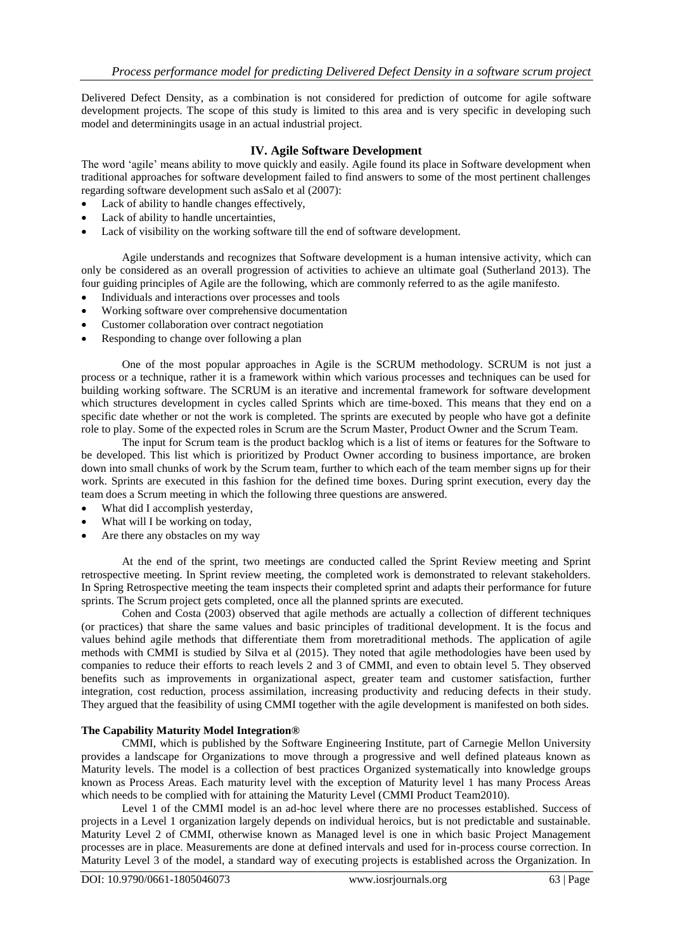Delivered Defect Density, as a combination is not considered for prediction of outcome for agile software development projects. The scope of this study is limited to this area and is very specific in developing such model and determiningits usage in an actual industrial project.

# **IV. Agile Software Development**

The word "agile" means ability to move quickly and easily. Agile found its place in Software development when traditional approaches for software development failed to find answers to some of the most pertinent challenges regarding software development such asSalo et al (2007):

- Lack of ability to handle changes effectively,
- Lack of ability to handle uncertainties,
- Lack of visibility on the working software till the end of software development.

Agile understands and recognizes that Software development is a human intensive activity, which can only be considered as an overall progression of activities to achieve an ultimate goal (Sutherland 2013). The four guiding principles of Agile are the following, which are commonly referred to as the agile manifesto.

- Individuals and interactions over processes and tools
- Working software over comprehensive documentation
- Customer collaboration over contract negotiation
- Responding to change over following a plan

One of the most popular approaches in Agile is the SCRUM methodology. SCRUM is not just a process or a technique, rather it is a framework within which various processes and techniques can be used for building working software. The SCRUM is an iterative and incremental framework for software development which structures development in cycles called Sprints which are time-boxed. This means that they end on a specific date whether or not the work is completed. The sprints are executed by people who have got a definite role to play. Some of the expected roles in Scrum are the Scrum Master, Product Owner and the Scrum Team.

The input for Scrum team is the product backlog which is a list of items or features for the Software to be developed. This list which is prioritized by Product Owner according to business importance, are broken down into small chunks of work by the Scrum team, further to which each of the team member signs up for their work. Sprints are executed in this fashion for the defined time boxes. During sprint execution, every day the team does a Scrum meeting in which the following three questions are answered.

- What did I accomplish yesterday,
- What will I be working on today,
- Are there any obstacles on my way

At the end of the sprint, two meetings are conducted called the Sprint Review meeting and Sprint retrospective meeting. In Sprint review meeting, the completed work is demonstrated to relevant stakeholders. In Spring Retrospective meeting the team inspects their completed sprint and adapts their performance for future sprints. The Scrum project gets completed, once all the planned sprints are executed.

Cohen and Costa (2003) observed that agile methods are actually a collection of different techniques (or practices) that share the same values and basic principles of traditional development. It is the focus and values behind agile methods that differentiate them from moretraditional methods. The application of agile methods with CMMI is studied by Silva et al (2015). They noted that agile methodologies have been used by companies to reduce their efforts to reach levels 2 and 3 of CMMI, and even to obtain level 5. They observed benefits such as improvements in organizational aspect, greater team and customer satisfaction, further integration, cost reduction, process assimilation, increasing productivity and reducing defects in their study. They argued that the feasibility of using CMMI together with the agile development is manifested on both sides.

# **The Capability Maturity Model Integration®**

CMMI, which is published by the Software Engineering Institute, part of Carnegie Mellon University provides a landscape for Organizations to move through a progressive and well defined plateaus known as Maturity levels. The model is a collection of best practices Organized systematically into knowledge groups known as Process Areas. Each maturity level with the exception of Maturity level 1 has many Process Areas which needs to be complied with for attaining the Maturity Level (CMMI Product Team2010).

Level 1 of the CMMI model is an ad-hoc level where there are no processes established. Success of projects in a Level 1 organization largely depends on individual heroics, but is not predictable and sustainable. Maturity Level 2 of CMMI, otherwise known as Managed level is one in which basic Project Management processes are in place. Measurements are done at defined intervals and used for in-process course correction. In Maturity Level 3 of the model, a standard way of executing projects is established across the Organization. In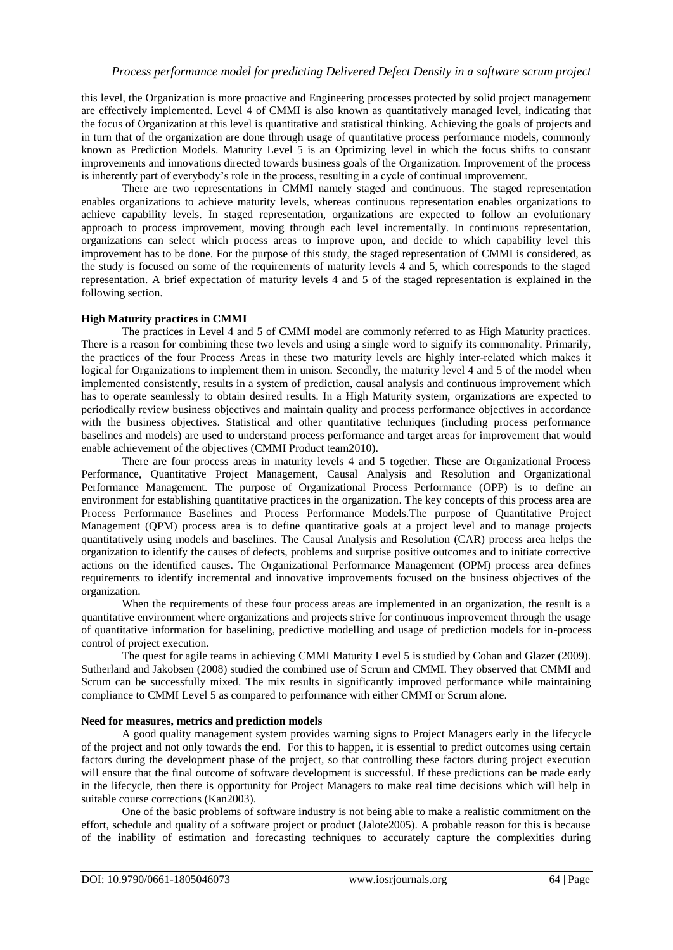this level, the Organization is more proactive and Engineering processes protected by solid project management are effectively implemented. Level 4 of CMMI is also known as quantitatively managed level, indicating that the focus of Organization at this level is quantitative and statistical thinking. Achieving the goals of projects and in turn that of the organization are done through usage of quantitative process performance models, commonly known as Prediction Models. Maturity Level 5 is an Optimizing level in which the focus shifts to constant improvements and innovations directed towards business goals of the Organization. Improvement of the process is inherently part of everybody"s role in the process, resulting in a cycle of continual improvement.

There are two representations in CMMI namely staged and continuous. The staged representation enables organizations to achieve maturity levels, whereas continuous representation enables organizations to achieve capability levels. In staged representation, organizations are expected to follow an evolutionary approach to process improvement, moving through each level incrementally. In continuous representation, organizations can select which process areas to improve upon, and decide to which capability level this improvement has to be done. For the purpose of this study, the staged representation of CMMI is considered, as the study is focused on some of the requirements of maturity levels 4 and 5, which corresponds to the staged representation. A brief expectation of maturity levels 4 and 5 of the staged representation is explained in the following section.

# **High Maturity practices in CMMI**

The practices in Level 4 and 5 of CMMI model are commonly referred to as High Maturity practices. There is a reason for combining these two levels and using a single word to signify its commonality. Primarily, the practices of the four Process Areas in these two maturity levels are highly inter-related which makes it logical for Organizations to implement them in unison. Secondly, the maturity level 4 and 5 of the model when implemented consistently, results in a system of prediction, causal analysis and continuous improvement which has to operate seamlessly to obtain desired results. In a High Maturity system, organizations are expected to periodically review business objectives and maintain quality and process performance objectives in accordance with the business objectives. Statistical and other quantitative techniques (including process performance baselines and models) are used to understand process performance and target areas for improvement that would enable achievement of the objectives (CMMI Product team2010).

There are four process areas in maturity levels 4 and 5 together. These are Organizational Process Performance, Quantitative Project Management, Causal Analysis and Resolution and Organizational Performance Management. The purpose of Organizational Process Performance (OPP) is to define an environment for establishing quantitative practices in the organization. The key concepts of this process area are Process Performance Baselines and Process Performance Models. The purpose of Quantitative Project Management (QPM) process area is to define quantitative goals at a project level and to manage projects quantitatively using models and baselines. The Causal Analysis and Resolution (CAR) process area helps the organization to identify the causes of defects, problems and surprise positive outcomes and to initiate corrective actions on the identified causes. The Organizational Performance Management (OPM) process area defines requirements to identify incremental and innovative improvements focused on the business objectives of the organization.

When the requirements of these four process areas are implemented in an organization, the result is a quantitative environment where organizations and projects strive for continuous improvement through the usage of quantitative information for baselining, predictive modelling and usage of prediction models for in-process control of project execution.

The quest for agile teams in achieving CMMI Maturity Level 5 is studied by Cohan and Glazer (2009). Sutherland and Jakobsen (2008) studied the combined use of Scrum and CMMI. They observed that CMMI and Scrum can be successfully mixed. The mix results in significantly improved performance while maintaining compliance to CMMI Level 5 as compared to performance with either CMMI or Scrum alone.

#### **Need for measures, metrics and prediction models**

A good quality management system provides warning signs to Project Managers early in the lifecycle of the project and not only towards the end. For this to happen, it is essential to predict outcomes using certain factors during the development phase of the project, so that controlling these factors during project execution will ensure that the final outcome of software development is successful. If these predictions can be made early in the lifecycle, then there is opportunity for Project Managers to make real time decisions which will help in suitable course corrections (Kan2003).

One of the basic problems of software industry is not being able to make a realistic commitment on the effort, schedule and quality of a software project or product (Jalote2005). A probable reason for this is because of the inability of estimation and forecasting techniques to accurately capture the complexities during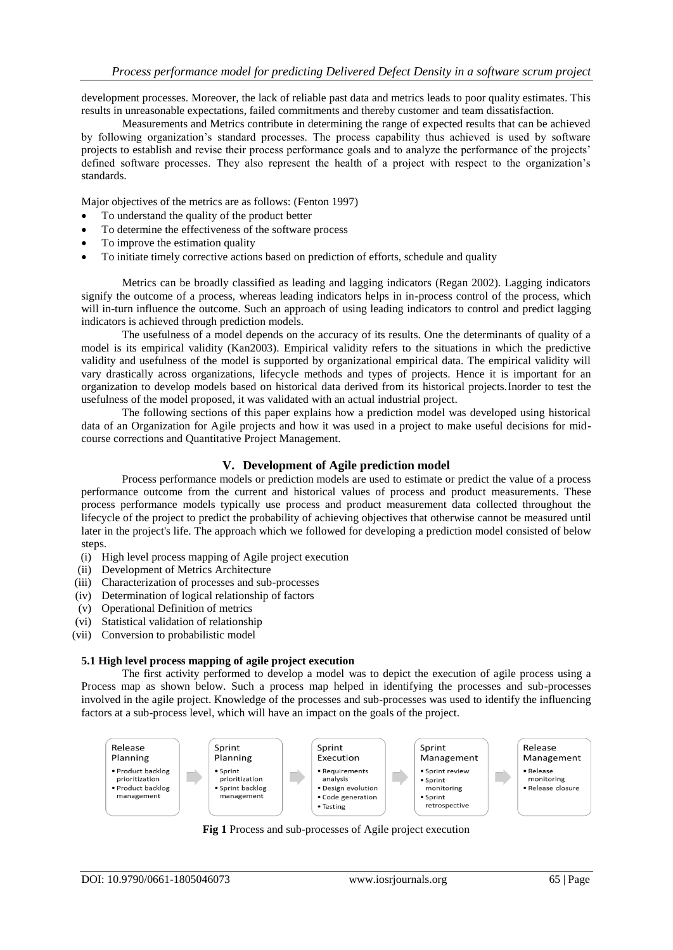development processes. Moreover, the lack of reliable past data and metrics leads to poor quality estimates. This results in unreasonable expectations, failed commitments and thereby customer and team dissatisfaction.

Measurements and Metrics contribute in determining the range of expected results that can be achieved by following organization"s standard processes. The process capability thus achieved is used by software projects to establish and revise their process performance goals and to analyze the performance of the projects" defined software processes. They also represent the health of a project with respect to the organization"s standards.

Major objectives of the metrics are as follows: (Fenton 1997)

- To understand the quality of the product better
- To determine the effectiveness of the software process
- To improve the estimation quality
- To initiate timely corrective actions based on prediction of efforts, schedule and quality

Metrics can be broadly classified as leading and lagging indicators (Regan 2002). Lagging indicators signify the outcome of a process, whereas leading indicators helps in in-process control of the process, which will in-turn influence the outcome. Such an approach of using leading indicators to control and predict lagging indicators is achieved through prediction models.

The usefulness of a model depends on the accuracy of its results. One the determinants of quality of a model is its empirical validity (Kan2003). Empirical validity refers to the situations in which the predictive validity and usefulness of the model is supported by organizational empirical data. The empirical validity will vary drastically across organizations, lifecycle methods and types of projects. Hence it is important for an organization to develop models based on historical data derived from its historical projects.Inorder to test the usefulness of the model proposed, it was validated with an actual industrial project.

The following sections of this paper explains how a prediction model was developed using historical data of an Organization for Agile projects and how it was used in a project to make useful decisions for midcourse corrections and Quantitative Project Management.

## **V. Development of Agile prediction model**

Process performance models or prediction models are used to estimate or predict the value of a process performance outcome from the current and historical values of process and product measurements. These process performance models typically use process and product measurement data collected throughout the lifecycle of the project to predict the probability of achieving objectives that otherwise cannot be measured until later in the project's life. The approach which we followed for developing a prediction model consisted of below steps.

- (i) High level process mapping of Agile project execution
- (ii) Development of Metrics Architecture
- (iii) Characterization of processes and sub-processes
- (iv) Determination of logical relationship of factors
- (v) Operational Definition of metrics
- (vi) Statistical validation of relationship
- (vii) Conversion to probabilistic model

# **5.1 High level process mapping of agile project execution**

The first activity performed to develop a model was to depict the execution of agile process using a Process map as shown below. Such a process map helped in identifying the processes and sub-processes involved in the agile project. Knowledge of the processes and sub-processes was used to identify the influencing factors at a sub-process level, which will have an impact on the goals of the project.



**Fig 1** Process and sub-processes of Agile project execution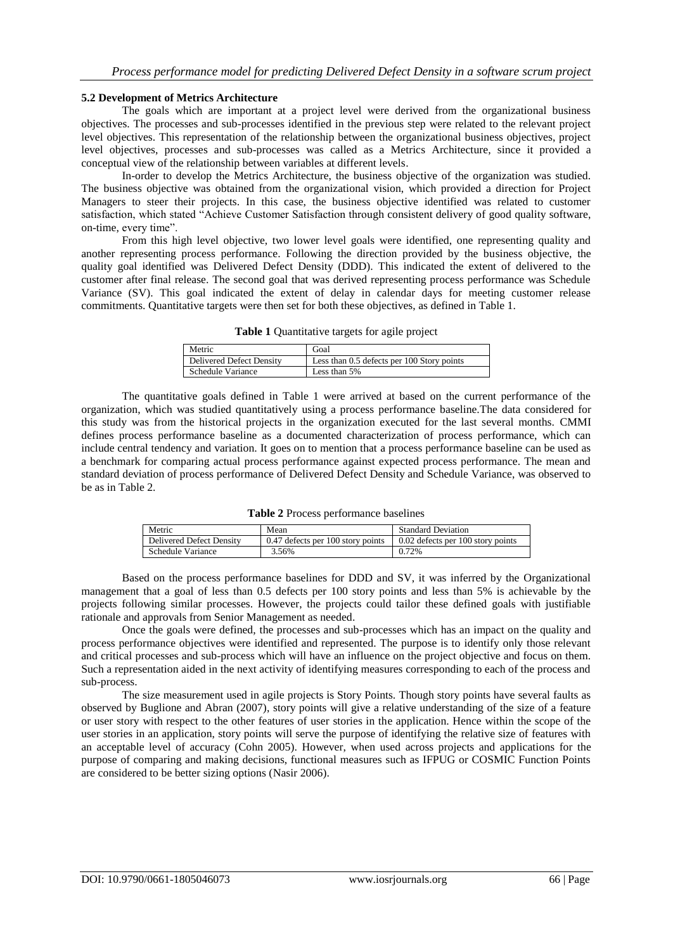#### **5.2 Development of Metrics Architecture**

The goals which are important at a project level were derived from the organizational business objectives. The processes and sub-processes identified in the previous step were related to the relevant project level objectives. This representation of the relationship between the organizational business objectives, project level objectives, processes and sub-processes was called as a Metrics Architecture, since it provided a conceptual view of the relationship between variables at different levels.

In-order to develop the Metrics Architecture, the business objective of the organization was studied. The business objective was obtained from the organizational vision, which provided a direction for Project Managers to steer their projects. In this case, the business objective identified was related to customer satisfaction, which stated "Achieve Customer Satisfaction through consistent delivery of good quality software, on-time, every time".

From this high level objective, two lower level goals were identified, one representing quality and another representing process performance. Following the direction provided by the business objective, the quality goal identified was Delivered Defect Density (DDD). This indicated the extent of delivered to the customer after final release. The second goal that was derived representing process performance was Schedule Variance (SV). This goal indicated the extent of delay in calendar days for meeting customer release commitments. Quantitative targets were then set for both these objectives, as defined in Table 1.

| Table 1 Quantitative targets for agile project |  |  |
|------------------------------------------------|--|--|
|                                                |  |  |

| Metric                          | Goal                                       |
|---------------------------------|--------------------------------------------|
| <b>Delivered Defect Density</b> | Less than 0.5 defects per 100 Story points |
| Schedule Variance               | Less than 5%                               |

The quantitative goals defined in Table 1 were arrived at based on the current performance of the organization, which was studied quantitatively using a process performance baseline.The data considered for this study was from the historical projects in the organization executed for the last several months. CMMI defines process performance baseline as a documented characterization of process performance, which can include central tendency and variation. It goes on to mention that a process performance baseline can be used as a benchmark for comparing actual process performance against expected process performance. The mean and standard deviation of process performance of Delivered Defect Density and Schedule Variance, was observed to be as in Table 2.

| Table 2 Process performance baselines |  |  |
|---------------------------------------|--|--|
|---------------------------------------|--|--|

| Metric                   | Mean                              | <b>Standard Deviation</b>         |
|--------------------------|-----------------------------------|-----------------------------------|
| Delivered Defect Density | 0.47 defects per 100 story points | 0.02 defects per 100 story points |
| Schedule Variance        | 3.56%                             | 0.72%                             |

Based on the process performance baselines for DDD and SV, it was inferred by the Organizational management that a goal of less than 0.5 defects per 100 story points and less than 5% is achievable by the projects following similar processes. However, the projects could tailor these defined goals with justifiable rationale and approvals from Senior Management as needed.

Once the goals were defined, the processes and sub-processes which has an impact on the quality and process performance objectives were identified and represented. The purpose is to identify only those relevant and critical processes and sub-process which will have an influence on the project objective and focus on them. Such a representation aided in the next activity of identifying measures corresponding to each of the process and sub-process.

The size measurement used in agile projects is Story Points. Though story points have several faults as observed by Buglione and Abran (2007), story points will give a relative understanding of the size of a feature or user story with respect to the other features of user stories in the application. Hence within the scope of the user stories in an application, story points will serve the purpose of identifying the relative size of features with an acceptable level of accuracy (Cohn 2005). However, when used across projects and applications for the purpose of comparing and making decisions, functional measures such as IFPUG or COSMIC Function Points are considered to be better sizing options (Nasir 2006).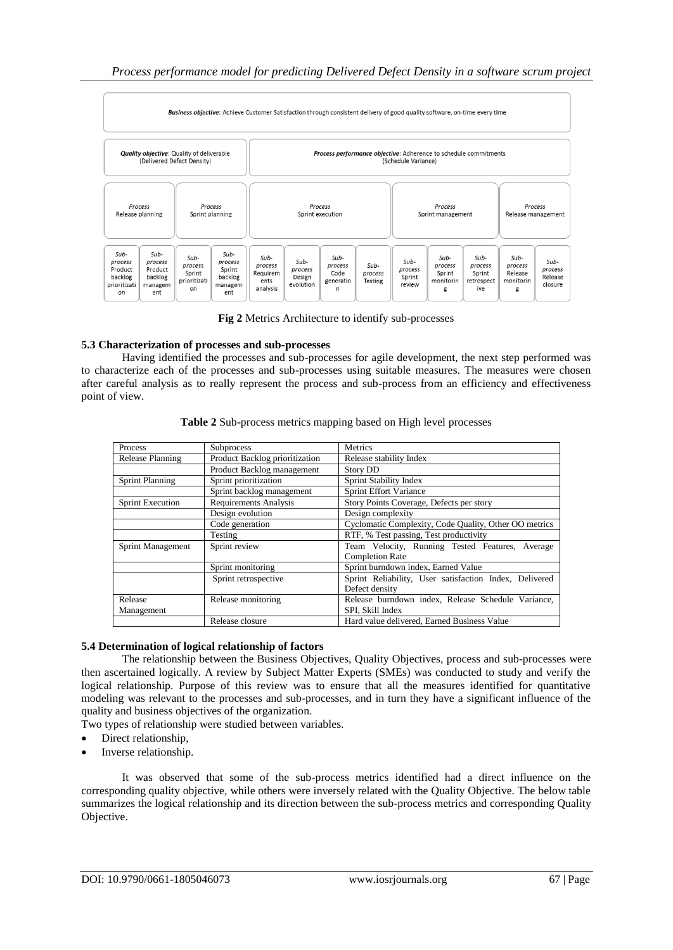

**Fig 2** Metrics Architecture to identify sub-processes

# **5.3 Characterization of processes and sub-processes**

Having identified the processes and sub-processes for agile development, the next step performed was to characterize each of the processes and sub-processes using suitable measures. The measures were chosen after careful analysis as to really represent the process and sub-process from an efficiency and effectiveness point of view.

| Process                 | Subprocess                     | Metrics                                                |
|-------------------------|--------------------------------|--------------------------------------------------------|
| Release Planning        | Product Backlog prioritization | Release stability Index                                |
|                         | Product Backlog management     | <b>Story DD</b>                                        |
| <b>Sprint Planning</b>  | Sprint prioritization          | Sprint Stability Index                                 |
|                         | Sprint backlog management      | <b>Sprint Effort Variance</b>                          |
| <b>Sprint Execution</b> | <b>Requirements Analysis</b>   | Story Points Coverage, Defects per story               |
|                         | Design evolution               | Design complexity                                      |
|                         | Code generation                | Cyclomatic Complexity, Code Quality, Other OO metrics  |
|                         | Testing                        | RTF, % Test passing, Test productivity                 |
| Sprint Management       | Sprint review                  | Team Velocity, Running Tested Features, Average        |
|                         |                                | <b>Completion Rate</b>                                 |
|                         | Sprint monitoring              | Sprint burndown index, Earned Value                    |
|                         | Sprint retrospective           | Sprint Reliability, User satisfaction Index, Delivered |
|                         |                                | Defect density                                         |
| Release                 | Release monitoring             | Release burndown index, Release Schedule Variance,     |
| Management              |                                | SPI. Skill Index                                       |
|                         | Release closure                | Hard value delivered, Earned Business Value            |

**Table 2** Sub-process metrics mapping based on High level processes

# **5.4 Determination of logical relationship of factors**

The relationship between the Business Objectives, Quality Objectives, process and sub-processes were then ascertained logically. A review by Subject Matter Experts (SMEs) was conducted to study and verify the logical relationship. Purpose of this review was to ensure that all the measures identified for quantitative modeling was relevant to the processes and sub-processes, and in turn they have a significant influence of the quality and business objectives of the organization.

Two types of relationship were studied between variables.

- Direct relationship,
- Inverse relationship.

It was observed that some of the sub-process metrics identified had a direct influence on the corresponding quality objective, while others were inversely related with the Quality Objective. The below table summarizes the logical relationship and its direction between the sub-process metrics and corresponding Quality Objective.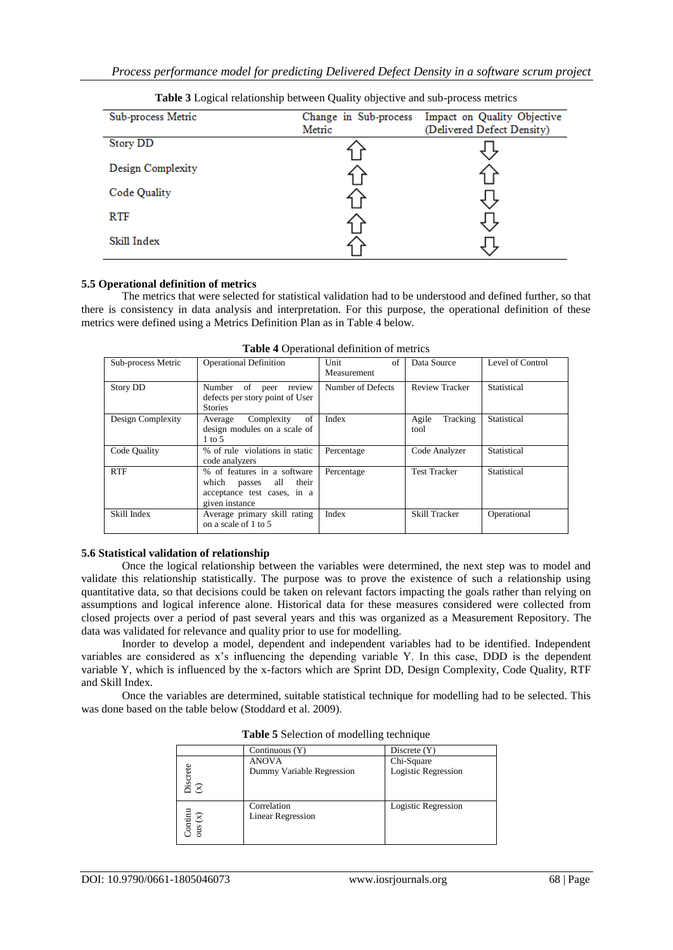| Sub-process Metric | Change in Sub-process | Impact on Quality Objective |  |
|--------------------|-----------------------|-----------------------------|--|
|                    | Metric                | (Delivered Defect Density)  |  |
| <b>Story DD</b>    |                       |                             |  |
| Design Complexity  |                       |                             |  |
| Code Quality       |                       |                             |  |
| <b>RTF</b>         |                       |                             |  |
| Skill Index        |                       |                             |  |

**Table 3** Logical relationship between Quality objective and sub-process metrics

## **5.5 Operational definition of metrics**

The metrics that were selected for statistical validation had to be understood and defined further, so that there is consistency in data analysis and interpretation. For this purpose, the operational definition of these metrics were defined using a Metrics Definition Plan as in Table 4 below.

| Sub-process Metric | <b>Operational Definition</b>                                                                                   | Unit<br>of<br>Measurement | Data Source               | Level of Control |
|--------------------|-----------------------------------------------------------------------------------------------------------------|---------------------------|---------------------------|------------------|
| <b>Story DD</b>    | of<br>Number<br>review<br>peer<br>defects per story point of User<br><b>Stories</b>                             | Number of Defects         | <b>Review Tracker</b>     | Statistical      |
| Design Complexity  | of<br>Complexity<br>Average<br>design modules on a scale of<br>$1 \text{ to } 5$                                | Index                     | Agile<br>Tracking<br>tool | Statistical      |
| Code Quality       | % of rule violations in static<br>code analyzers                                                                | Percentage                | Code Analyzer             | Statistical      |
| <b>RTF</b>         | % of features in a software<br>which<br>all<br>their<br>passes<br>acceptance test cases, in a<br>given instance | Percentage                | <b>Test Tracker</b>       | Statistical      |
| Skill Index        | Average primary skill rating<br>on a scale of 1 to 5                                                            | Index                     | Skill Tracker             | Operational      |

**Table 4** Operational definition of metrics

#### **5.6 Statistical validation of relationship**

Once the logical relationship between the variables were determined, the next step was to model and validate this relationship statistically. The purpose was to prove the existence of such a relationship using quantitative data, so that decisions could be taken on relevant factors impacting the goals rather than relying on assumptions and logical inference alone. Historical data for these measures considered were collected from closed projects over a period of past several years and this was organized as a Measurement Repository. The data was validated for relevance and quality prior to use for modelling.

Inorder to develop a model, dependent and independent variables had to be identified. Independent variables are considered as x"s influencing the depending variable Y. In this case, DDD is the dependent variable Y, which is influenced by the x-factors which are Sprint DD, Design Complexity, Code Quality, RTF and Skill Index.

Once the variables are determined, suitable statistical technique for modelling had to be selected. This was done based on the table below (Stoddard et al. 2009).

|                                                                      | Continuous $(Y)$                          | Discrete $(Y)$                    |
|----------------------------------------------------------------------|-------------------------------------------|-----------------------------------|
| iscrete<br>$\mathcal{E}$                                             | <b>ANOVA</b><br>Dummy Variable Regression | Chi-Square<br>Logistic Regression |
| $\begin{array}{c}\n\text{Continuity} \\ \text{ous (x)}\n\end{array}$ | Correlation<br><b>Linear Regression</b>   | Logistic Regression               |

**Table 5** Selection of modelling technique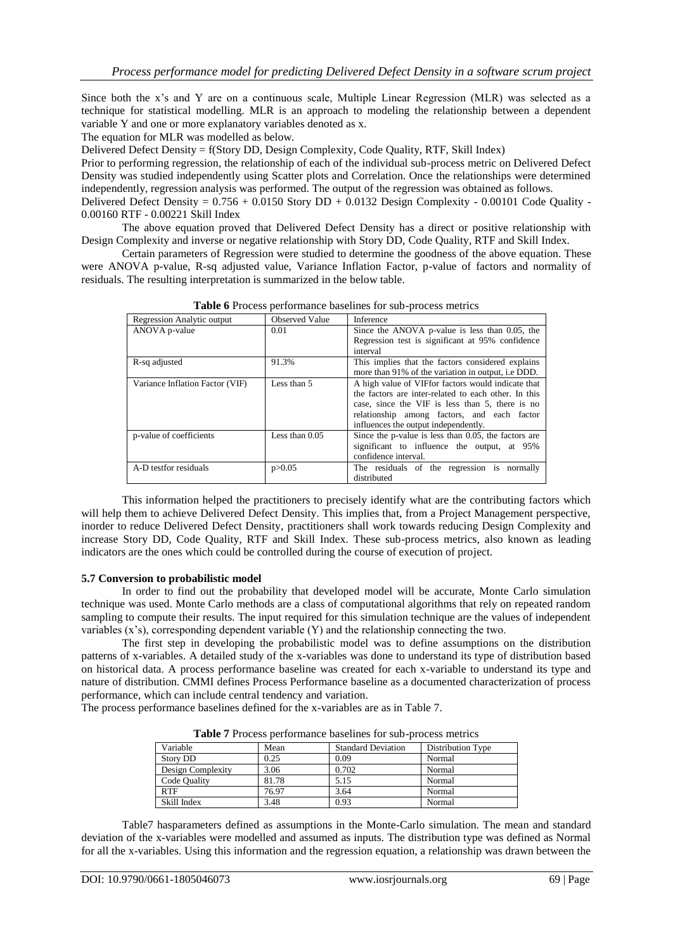Since both the x"s and Y are on a continuous scale, Multiple Linear Regression (MLR) was selected as a technique for statistical modelling. MLR is an approach to modeling the relationship between a dependent variable Y and one or more explanatory variables denoted as x.

The equation for MLR was modelled as below.

Delivered Defect Density = f(Story DD, Design Complexity, Code Quality, RTF, Skill Index)

Prior to performing regression, the relationship of each of the individual sub-process metric on Delivered Defect Density was studied independently using Scatter plots and Correlation. Once the relationships were determined independently, regression analysis was performed. The output of the regression was obtained as follows.

Delivered Defect Density =  $0.756 + 0.0150$  Story DD + 0.0132 Design Complexity - 0.00101 Code Quality -0.00160 RTF - 0.00221 Skill Index

The above equation proved that Delivered Defect Density has a direct or positive relationship with Design Complexity and inverse or negative relationship with Story DD, Code Quality, RTF and Skill Index.

Certain parameters of Regression were studied to determine the goodness of the above equation. These were ANOVA p-value, R-sq adjusted value, Variance Inflation Factor, p-value of factors and normality of residuals. The resulting interpretation is summarized in the below table.

| <b>Regression Analytic output</b> | <b>Observed Value</b> | Inference                                            |
|-----------------------------------|-----------------------|------------------------------------------------------|
| ANOVA p-value                     | 0.01                  | Since the ANOVA p-value is less than 0.05, the       |
|                                   |                       | Regression test is significant at 95% confidence     |
|                                   |                       | interval                                             |
| R-sq adjusted                     | 91.3%                 | This implies that the factors considered explains    |
|                                   |                       | more than 91% of the variation in output, i.e DDD.   |
| Variance Inflation Factor (VIF)   | Less than 5           | A high value of VIFfor factors would indicate that   |
|                                   |                       | the factors are inter-related to each other. In this |
|                                   |                       | case, since the VIF is less than 5, there is no      |
|                                   |                       | relationship among factors, and each factor          |
|                                   |                       | influences the output independently.                 |
| p-value of coefficients           | Less than $0.05$      | Since the p-value is less than 0.05, the factors are |
|                                   |                       | significant to influence the output, at 95%          |
|                                   |                       | confidence interval.                                 |
| A-D testfor residuals             | p > 0.05              | The residuals of the regression is normally          |
|                                   |                       | distributed                                          |

**Table 6** Process performance baselines for sub-process metrics

This information helped the practitioners to precisely identify what are the contributing factors which will help them to achieve Delivered Defect Density. This implies that, from a Project Management perspective, inorder to reduce Delivered Defect Density, practitioners shall work towards reducing Design Complexity and increase Story DD, Code Quality, RTF and Skill Index. These sub-process metrics, also known as leading indicators are the ones which could be controlled during the course of execution of project.

#### **5.7 Conversion to probabilistic model**

In order to find out the probability that developed model will be accurate, Monte Carlo simulation technique was used. Monte Carlo methods are a class of computational algorithms that rely on repeated random sampling to compute their results. The input required for this simulation technique are the values of independent variables  $(x's)$ , corresponding dependent variable  $(Y)$  and the relationship connecting the two.

The first step in developing the probabilistic model was to define assumptions on the distribution patterns of x-variables. A detailed study of the x-variables was done to understand its type of distribution based on historical data. A process performance baseline was created for each x-variable to understand its type and nature of distribution. CMMI defines Process Performance baseline as a documented characterization of process performance, which can include central tendency and variation.

The process performance baselines defined for the x-variables are as in Table 7.

| Variable          | Mean  | <b>Standard Deviation</b> | Distribution Type |  |  |  |
|-------------------|-------|---------------------------|-------------------|--|--|--|
| <b>Story DD</b>   | 0.25  | 0.09                      | Normal            |  |  |  |
| Design Complexity | 3.06  | 0.702                     | Normal            |  |  |  |
| Code Quality      | 81.78 | 5.15                      | Normal            |  |  |  |
| <b>RTF</b>        | 76.97 | 3.64                      | Normal            |  |  |  |
| Skill Index       | 3.48  | 0.93                      | Normal            |  |  |  |

**Table 7** Process performance baselines for sub-process metrics

Table7 hasparameters defined as assumptions in the Monte-Carlo simulation. The mean and standard deviation of the x-variables were modelled and assumed as inputs. The distribution type was defined as Normal for all the x-variables. Using this information and the regression equation, a relationship was drawn between the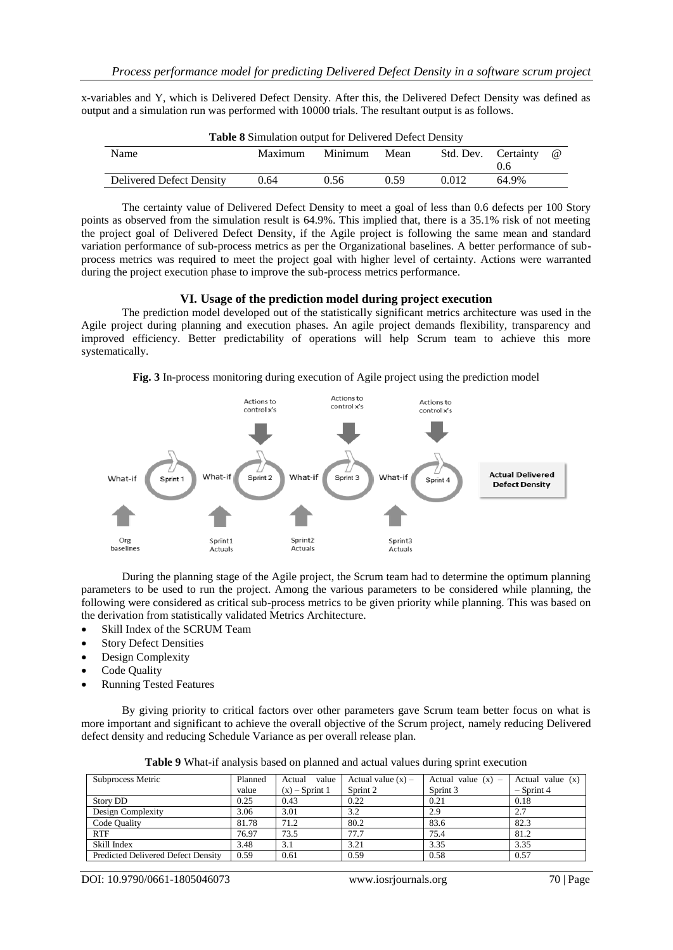x-variables and Y, which is Delivered Defect Density. After this, the Delivered Defect Density was defined as output and a simulation run was performed with 10000 trials. The resultant output is as follows.

| Tuble o Billiamion balpat for Ben verea Beleet Bensity |         |         |      |       |                     |          |
|--------------------------------------------------------|---------|---------|------|-------|---------------------|----------|
| Name                                                   | Maximum | Minimum | Mean |       | Std. Dev. Certainty | $\omega$ |
|                                                        |         |         |      |       | 0.6                 |          |
| Delivered Defect Density                               | 0.64    | 0.56    | 0.59 | 0.012 | 64.9%               |          |
|                                                        |         |         |      |       |                     |          |

**Table 8** Simulation output for Delivered Defect Density

The certainty value of Delivered Defect Density to meet a goal of less than 0.6 defects per 100 Story points as observed from the simulation result is 64.9%. This implied that, there is a 35.1% risk of not meeting the project goal of Delivered Defect Density, if the Agile project is following the same mean and standard variation performance of sub-process metrics as per the Organizational baselines. A better performance of subprocess metrics was required to meet the project goal with higher level of certainty. Actions were warranted during the project execution phase to improve the sub-process metrics performance.

#### **VI. Usage of the prediction model during project execution**

The prediction model developed out of the statistically significant metrics architecture was used in the Agile project during planning and execution phases. An agile project demands flexibility, transparency and improved efficiency. Better predictability of operations will help Scrum team to achieve this more systematically.

**Fig. 3** In-process monitoring during execution of Agile project using the prediction model



During the planning stage of the Agile project, the Scrum team had to determine the optimum planning parameters to be used to run the project. Among the various parameters to be considered while planning, the following were considered as critical sub-process metrics to be given priority while planning. This was based on the derivation from statistically validated Metrics Architecture.

- Skill Index of the SCRUM Team
- Story Defect Densities
- Design Complexity
- Code Quality
- Running Tested Features

By giving priority to critical factors over other parameters gave Scrum team better focus on what is more important and significant to achieve the overall objective of the Scrum project, namely reducing Delivered defect density and reducing Schedule Variance as per overall release plan.

| Subprocess Metric                         | Planned | Actual<br>value  | Actual value $(x)$ – | Actual value $(x)$ – | Actual value $(x)$ |
|-------------------------------------------|---------|------------------|----------------------|----------------------|--------------------|
|                                           | value   | $(x)$ – Sprint 1 | Sprint 2             | Sprint 3             | $-$ Sprint 4       |
| <b>Story DD</b>                           | 0.25    | 0.43             | 0.22                 | 0.21                 | 0.18               |
| Design Complexity                         | 3.06    | 3.01             | 3.2                  | 2.9                  | 2.7                |
| Code Quality                              | 81.78   | 71.2             | 80.2                 | 83.6                 | 82.3               |
| <b>RTF</b>                                | 76.97   | 73.5             | 77.7                 | 75.4                 | 81.2               |
| Skill Index                               | 3.48    | 3.1              | 3.21                 | 3.35                 | 3.35               |
| <b>Predicted Delivered Defect Density</b> | 0.59    | 0.61             | 0.59                 | 0.58                 | 0.57               |

**Table 9** What-if analysis based on planned and actual values during sprint execution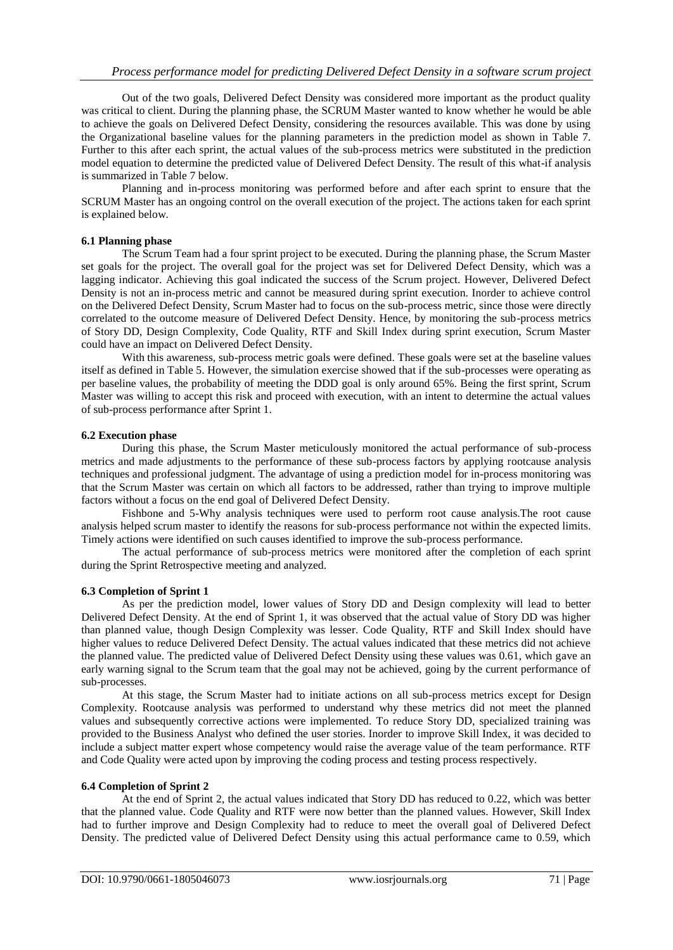Out of the two goals, Delivered Defect Density was considered more important as the product quality was critical to client. During the planning phase, the SCRUM Master wanted to know whether he would be able to achieve the goals on Delivered Defect Density, considering the resources available. This was done by using the Organizational baseline values for the planning parameters in the prediction model as shown in Table 7. Further to this after each sprint, the actual values of the sub-process metrics were substituted in the prediction model equation to determine the predicted value of Delivered Defect Density. The result of this what-if analysis is summarized in Table 7 below.

Planning and in-process monitoring was performed before and after each sprint to ensure that the SCRUM Master has an ongoing control on the overall execution of the project. The actions taken for each sprint is explained below.

# **6.1 Planning phase**

The Scrum Team had a four sprint project to be executed. During the planning phase, the Scrum Master set goals for the project. The overall goal for the project was set for Delivered Defect Density, which was a lagging indicator. Achieving this goal indicated the success of the Scrum project. However, Delivered Defect Density is not an in-process metric and cannot be measured during sprint execution. Inorder to achieve control on the Delivered Defect Density, Scrum Master had to focus on the sub-process metric, since those were directly correlated to the outcome measure of Delivered Defect Density. Hence, by monitoring the sub-process metrics of Story DD, Design Complexity, Code Quality, RTF and Skill Index during sprint execution, Scrum Master could have an impact on Delivered Defect Density.

With this awareness, sub-process metric goals were defined. These goals were set at the baseline values itself as defined in Table 5. However, the simulation exercise showed that if the sub-processes were operating as per baseline values, the probability of meeting the DDD goal is only around 65%. Being the first sprint, Scrum Master was willing to accept this risk and proceed with execution, with an intent to determine the actual values of sub-process performance after Sprint 1.

## **6.2 Execution phase**

During this phase, the Scrum Master meticulously monitored the actual performance of sub-process metrics and made adjustments to the performance of these sub-process factors by applying rootcause analysis techniques and professional judgment. The advantage of using a prediction model for in-process monitoring was that the Scrum Master was certain on which all factors to be addressed, rather than trying to improve multiple factors without a focus on the end goal of Delivered Defect Density.

Fishbone and 5-Why analysis techniques were used to perform root cause analysis.The root cause analysis helped scrum master to identify the reasons for sub-process performance not within the expected limits. Timely actions were identified on such causes identified to improve the sub-process performance.

The actual performance of sub-process metrics were monitored after the completion of each sprint during the Sprint Retrospective meeting and analyzed.

#### **6.3 Completion of Sprint 1**

As per the prediction model, lower values of Story DD and Design complexity will lead to better Delivered Defect Density. At the end of Sprint 1, it was observed that the actual value of Story DD was higher than planned value, though Design Complexity was lesser. Code Quality, RTF and Skill Index should have higher values to reduce Delivered Defect Density. The actual values indicated that these metrics did not achieve the planned value. The predicted value of Delivered Defect Density using these values was 0.61, which gave an early warning signal to the Scrum team that the goal may not be achieved, going by the current performance of sub-processes.

At this stage, the Scrum Master had to initiate actions on all sub-process metrics except for Design Complexity. Rootcause analysis was performed to understand why these metrics did not meet the planned values and subsequently corrective actions were implemented. To reduce Story DD, specialized training was provided to the Business Analyst who defined the user stories. Inorder to improve Skill Index, it was decided to include a subject matter expert whose competency would raise the average value of the team performance. RTF and Code Quality were acted upon by improving the coding process and testing process respectively.

#### **6.4 Completion of Sprint 2**

At the end of Sprint 2, the actual values indicated that Story DD has reduced to 0.22, which was better that the planned value. Code Quality and RTF were now better than the planned values. However, Skill Index had to further improve and Design Complexity had to reduce to meet the overall goal of Delivered Defect Density. The predicted value of Delivered Defect Density using this actual performance came to 0.59, which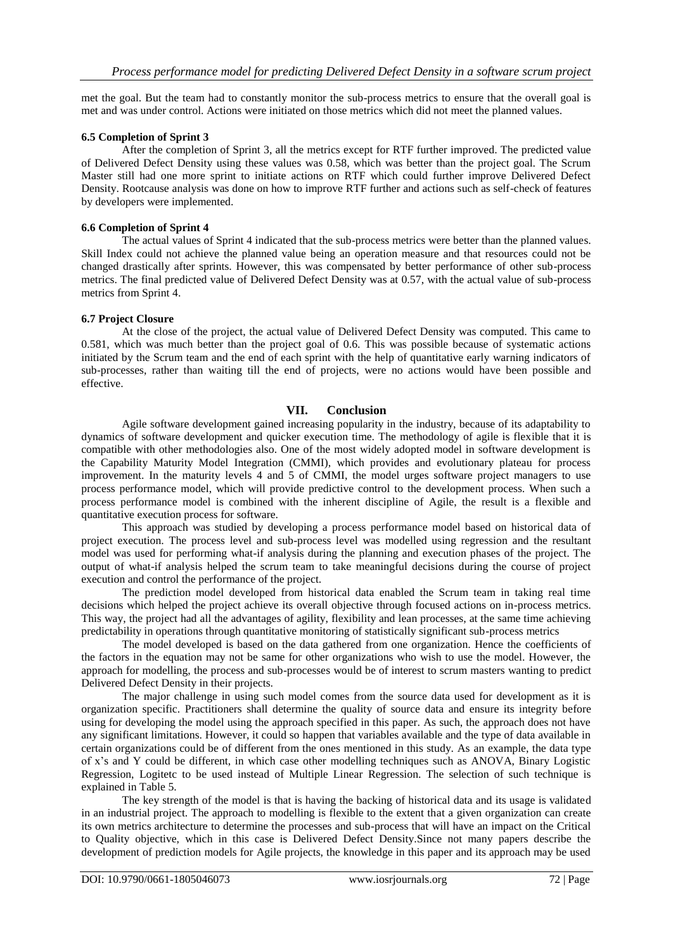met the goal. But the team had to constantly monitor the sub-process metrics to ensure that the overall goal is met and was under control. Actions were initiated on those metrics which did not meet the planned values.

# **6.5 Completion of Sprint 3**

After the completion of Sprint 3, all the metrics except for RTF further improved. The predicted value of Delivered Defect Density using these values was 0.58, which was better than the project goal. The Scrum Master still had one more sprint to initiate actions on RTF which could further improve Delivered Defect Density. Rootcause analysis was done on how to improve RTF further and actions such as self-check of features by developers were implemented.

#### **6.6 Completion of Sprint 4**

The actual values of Sprint 4 indicated that the sub-process metrics were better than the planned values. Skill Index could not achieve the planned value being an operation measure and that resources could not be changed drastically after sprints. However, this was compensated by better performance of other sub-process metrics. The final predicted value of Delivered Defect Density was at 0.57, with the actual value of sub-process metrics from Sprint 4.

## **6.7 Project Closure**

At the close of the project, the actual value of Delivered Defect Density was computed. This came to 0.581, which was much better than the project goal of 0.6. This was possible because of systematic actions initiated by the Scrum team and the end of each sprint with the help of quantitative early warning indicators of sub-processes, rather than waiting till the end of projects, were no actions would have been possible and effective.

## **VII. Conclusion**

Agile software development gained increasing popularity in the industry, because of its adaptability to dynamics of software development and quicker execution time. The methodology of agile is flexible that it is compatible with other methodologies also. One of the most widely adopted model in software development is the Capability Maturity Model Integration (CMMI), which provides and evolutionary plateau for process improvement. In the maturity levels 4 and 5 of CMMI, the model urges software project managers to use process performance model, which will provide predictive control to the development process. When such a process performance model is combined with the inherent discipline of Agile, the result is a flexible and quantitative execution process for software.

This approach was studied by developing a process performance model based on historical data of project execution. The process level and sub-process level was modelled using regression and the resultant model was used for performing what-if analysis during the planning and execution phases of the project. The output of what-if analysis helped the scrum team to take meaningful decisions during the course of project execution and control the performance of the project.

The prediction model developed from historical data enabled the Scrum team in taking real time decisions which helped the project achieve its overall objective through focused actions on in-process metrics. This way, the project had all the advantages of agility, flexibility and lean processes, at the same time achieving predictability in operations through quantitative monitoring of statistically significant sub-process metrics

The model developed is based on the data gathered from one organization. Hence the coefficients of the factors in the equation may not be same for other organizations who wish to use the model. However, the approach for modelling, the process and sub-processes would be of interest to scrum masters wanting to predict Delivered Defect Density in their projects.

The major challenge in using such model comes from the source data used for development as it is organization specific. Practitioners shall determine the quality of source data and ensure its integrity before using for developing the model using the approach specified in this paper. As such, the approach does not have any significant limitations. However, it could so happen that variables available and the type of data available in certain organizations could be of different from the ones mentioned in this study. As an example, the data type of x"s and Y could be different, in which case other modelling techniques such as ANOVA, Binary Logistic Regression, Logitetc to be used instead of Multiple Linear Regression. The selection of such technique is explained in Table 5.

The key strength of the model is that is having the backing of historical data and its usage is validated in an industrial project. The approach to modelling is flexible to the extent that a given organization can create its own metrics architecture to determine the processes and sub-process that will have an impact on the Critical to Quality objective, which in this case is Delivered Defect Density.Since not many papers describe the development of prediction models for Agile projects, the knowledge in this paper and its approach may be used